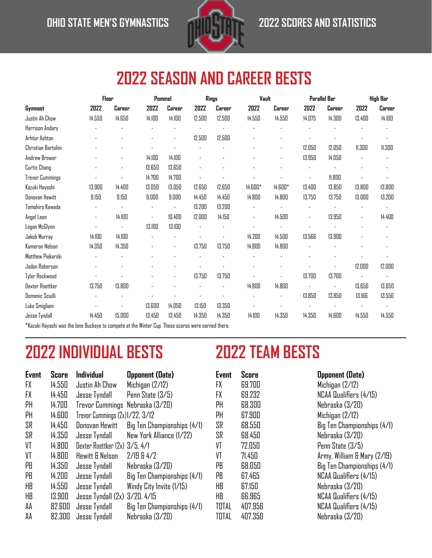

# **2022 SEASON AND CAREER BESTS**

|                                                                                                    |        | Floor  | Pommel                   |                |        | Rings  | Vault   |         |        | Parallel Bar |        | High Bar |
|----------------------------------------------------------------------------------------------------|--------|--------|--------------------------|----------------|--------|--------|---------|---------|--------|--------------|--------|----------|
| Gymnast                                                                                            | 2022   | Career | 2022                     | Career         | 2022   | Career | 2022    | Career  | 2022   | Career       | 2022   | Career   |
| Justin Ah Chow                                                                                     | 14.550 | 14.650 | 14.100                   | 14.100         | 12.500 | 12.500 | 14.550  | 14.550  | 14.075 | 14.300       | 13.400 | 14.100   |
| Harrison Andary                                                                                    |        |        |                          |                |        |        |         |         |        |              |        |          |
| Arhtur Ashton                                                                                      |        |        |                          | $\overline{a}$ | 12.500 | 12.500 |         |         |        |              |        |          |
| Christian Bartolini                                                                                |        |        |                          |                |        |        |         |         | 12.050 | 12.050       | 11.300 | 11.300   |
| Andrew Brower                                                                                      |        |        | 14.100                   | 14.100         |        |        |         | ٠       | 13.950 | 14.050       |        |          |
| Curtis Chang                                                                                       |        |        | 13.650                   | 13.650         |        |        |         |         |        |              |        |          |
| <b>Trevor Cummings</b>                                                                             |        |        | 14.700                   | 14.700         |        |        |         |         |        | 11.800       |        |          |
| Kazuki Hayashi                                                                                     | 13.900 | 14.400 | 13.050                   | 13.050         | 12.650 | 12.650 | 14.600* | 14.600* | 13.400 | 13.850       | 13.800 | 13.800   |
| Donovan Hewitt                                                                                     | 9.150  | 9.150  | 9.000                    | 9.000          | 14.450 | 14.450 | 14.800  | 14.800  | 13.750 | 13.750       | 13.000 | 13.200   |
| Tomohiro Kawada                                                                                    |        |        |                          |                | 13.200 | 13.200 |         |         |        |              |        |          |
| Angel Leon                                                                                         | ÷,     | 14.100 | $\overline{\phantom{a}}$ | 10.400         | 12.000 | 14.150 | ÷,      | 14.500  |        | 13.950       |        | 14.400   |
| Logan McGlynn                                                                                      |        |        | 13.100                   | 13.100         |        |        |         |         |        |              |        |          |
| Jakob Murray                                                                                       | 14.100 | 14.100 |                          |                |        |        | 14.200  | 14.500  | 13.566 | 13.900       |        |          |
| Kameron Nelson                                                                                     | 14.350 | 14.350 |                          | ٠              | 13.750 | 13.750 | 14.800  | 14.800  |        |              |        |          |
| Matthew Piekarski                                                                                  |        |        |                          |                |        |        |         |         |        |              |        |          |
| Jadon Roberson                                                                                     |        |        |                          |                |        |        |         |         |        |              | 12.000 | 12.000   |
| Tyler Rockwood                                                                                     |        |        |                          |                | 13.750 | 13.750 |         |         | 13.700 | 13.700       |        |          |
| <b>Dexter Roettker</b>                                                                             | 13.750 | 13.800 |                          |                |        |        | 14.800  | 14.800  |        | ä,           | 13.650 | 13.650   |
| Domenic Sciulli                                                                                    |        |        |                          |                |        |        |         |         | 13.850 | 13.850       | 13.166 | 13.550   |
| Luke Smigliani                                                                                     |        |        | 13.600                   | 14.050         | 13.150 | 13.350 |         |         |        |              |        |          |
| <b>Jesse Tyndall</b>                                                                               | 14.450 | 15.000 | 13.450                   | 13.450         | 14.350 | 14.350 | 14.100  | 14.350  | 14.350 | 14.600       | 14.550 | 14.550   |
| Kazuki Hayashi was the lone Buckeye to compete at the Winter Cup. These scores were earned there." |        |        |                          |                |        |        |         |         |        |              |        |          |

# **2022 INDIVIDUAL BESTS 2022 TEAM BESTS**

| <b>Event</b> | Score  | <b>Individual</b>               | <b>Opponent (Date)</b>      |
|--------------|--------|---------------------------------|-----------------------------|
| <b>FX</b>    | 14.550 | Justin Ah Chow                  | Michigan (2/12)             |
| <b>FX</b>    | 14.450 | Jesse Tyndall                   | Penn State (3/5)            |
| PH           | 14.700 | Trevor Cummings Nebraska (3/20) |                             |
| PH           | 14.600 | Trevor Cummings (2x)1/22, 3/12  |                             |
| SR           | 14.450 | Donovan Hewitt                  | Big Ten Championships (4/1) |
| SR           | 14.350 | Jesse Tyndall                   | New York Alliance (1/22)    |
| VT           | 14.800 | Dexter Roettker (2x) 3/5, 4/1   |                             |
| VT           | 14.800 | Hewitt & Nelson                 | 2/19B4/2                    |
| PB           | 14.350 | Jesse Tyndall                   | Nebraska (3/20)             |
| PB           | 14.200 | Jesse Tyndall                   | Big Ten Championships (4/1) |
| HB           | 14.550 | Jesse Tyndall                   | Windy City Invite (1/15)    |
| HB           | 13.900 | Jesse Tyndall (2x) 3/20, 4/15   |                             |
| AA           | 82.600 | Jesse Tyndall                   | Big Ten Championships (4/1) |
| AΑ           | 82.300 | Jesse Tyndall                   | Nebraska (3/20)             |

| Event | Score   |  |
|-------|---------|--|
| FX    | 69.700  |  |
| FX    | 69.232  |  |
| PH    | 68.3NN  |  |
| PH    | 67.900  |  |
| SR    | 68.SSN  |  |
| SR    | 68.450  |  |
| VT    | 72.050  |  |
| VT    | 71.450  |  |
| PB    | 68.050  |  |
| PB    | 67.465  |  |
| HB    | 67.150  |  |
| HB    | 66.965  |  |
| TOTAL | 407.956 |  |
| TOTAL | 407.350 |  |

#### **Exponent (Date)**

 $Michigan$   $(2/12)$  $NCAA$  Qualifiers  $(4/15)$ Nebraska (3/20) Michigan (2/12) Big Ten Championships (4/1) Nebraska (3/20) Penn State (3/5) Army, William & Mary (2/19) Big Ten Championships (4/1) NCAA Qualifiers (4/15) Nebraska (3/20) NCAA Qualifiers (4/15) NCAA Qualifiers (4/15) Nebraska (3/20)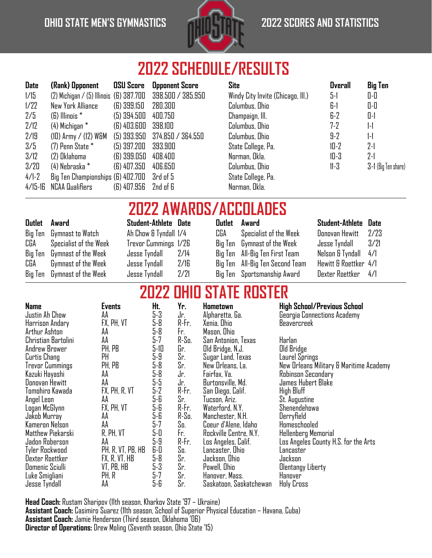### **OHIO STATE MEN'S GYMNASTICS 2022 SCORES AND STATISTICS**



# **2022 SCHEDULE/RESULTS**

| <b>Date</b> | (Rank) Opponent                         | <b>OSU Score</b> | <b>Opponent Score</b> | <b>Site</b>                       | <b>Overall</b> | <b>Big Ten</b>      |
|-------------|-----------------------------------------|------------------|-----------------------|-----------------------------------|----------------|---------------------|
|             |                                         |                  |                       |                                   |                |                     |
| 1/15        | (2) Michigan / (5) Illinois (6) 387.700 |                  | 398.500 / 385.950     | Windy City Invite (Chicago, III.) | 5-1            | 0-0                 |
| 1/22        | New York Alliance                       | (6) 399.150      | 280.300               | Columbus, Ohio                    | 6-1            | 0-0                 |
| 2/5         | $(B)$ Illinois $*$                      | $(5)$ 394.500    | 400.750               | Champaign, Ill.                   | 6-2            | 0-1                 |
| 2/12        | (4) Michigan *                          | (6) 403.600      | 398.100               | Columbus, Ohio                    | $7 - 2$        | $1-1$               |
| 2/19        | $(10)$ Army / $(12)$ W&M                | $(5)$ 393.950    | 374.850 / 364.550     | Columbus, Ohio                    | $9-2$          | $1-1$               |
| 3/5         | $(7)$ Penn State $*$                    | (5) 397.200      | 393.900               | State College, Pa.                | $10-2$         | $2-1$               |
| 3/12        | (2) Oklahoma                            | (6) 399.050      | 408.400               | Norman, Okla.                     | $10 - 3$       | $2-1$               |
| 3/20        | (4) Nebraska *                          | (6) 407.350      | 406.650               | Columbus, Ohio                    | $11-3$         | 3-1 (Big Ten share) |
| 4/1-2       | Big Ten Championships (6) 402.700       |                  | 3rd of 5              | State College, Pa.                |                |                     |
| 4/15-16     | NCAA Qualifiers                         | (6) 407.956      | 2nd of 6              | Norman, Okla.                     |                |                     |
|             |                                         |                  |                       |                                   |                |                     |

### **2022 AWARDS/ACCOLADES**

| <b>Outlet</b> Award         |               |  |                                                                                               |  |                                                                                                                                                                           |                                                                                                                     |  |  |  |  |
|-----------------------------|---------------|--|-----------------------------------------------------------------------------------------------|--|---------------------------------------------------------------------------------------------------------------------------------------------------------------------------|---------------------------------------------------------------------------------------------------------------------|--|--|--|--|
| Big Ten Gymnast to Watch    |               |  | CGA                                                                                           |  |                                                                                                                                                                           |                                                                                                                     |  |  |  |  |
| CGA Specialist of the Week  |               |  |                                                                                               |  |                                                                                                                                                                           |                                                                                                                     |  |  |  |  |
| Big Ten Gymnast of the Week | Jesse Tyndall |  |                                                                                               |  |                                                                                                                                                                           |                                                                                                                     |  |  |  |  |
| CGA Gymnast of the Week     | Jesse Tyndall |  |                                                                                               |  |                                                                                                                                                                           |                                                                                                                     |  |  |  |  |
| Big Ten Gymnast of the Week | Jesse Tyndall |  |                                                                                               |  |                                                                                                                                                                           |                                                                                                                     |  |  |  |  |
|                             |               |  | Student-Athlete Date<br>Ah Chow & Tyndall 1/4<br>Trevor Cummings 1/26<br>2/14<br>2/16<br>2/21 |  | Outlet Award<br>Specialist of the Week<br>Big Ten Gymnast of the Week<br>Big Ten All-Big Ten First Team<br>Big Ten All-Big Ten Second Team<br>Big Ten Sportsmanship Award | Student-Athlete Date<br>Donovan Hewitt 2/23<br>Nelson & Tyndall 4/1<br>Hewitt & Roettker 4/1<br>Dexter Roettker 4/1 |  |  |  |  |

# **2022 OHIO STATE ROSTER**

| <b>Name</b>            | <b>Events</b>     | Ht.   | Yr.     | Hometown                | High School/Previous School             |
|------------------------|-------------------|-------|---------|-------------------------|-----------------------------------------|
| Justin Ah Chow         | AA                | $5-3$ | Jr.     | Alpharetta, Ga.         | Georgia Connections Academy             |
| Harrison Andary        | FX, PH, VT        | 5-8   | R-Fr.   | Xenia, Ohio             | Beavercreek                             |
| Arthur Ashton          | AΑ                | 5-8   | Fr.     | Mason, Ohio             |                                         |
| Christian Bartolini    | AA                | $5-7$ | R-So.   | San Antonion, Texas     | Harlan                                  |
| Andrew Brower          | PH, PB            | 5-10  | Gr.     | Old Bridge, N.J.        | Old Bridge                              |
| Curtis Chang           | PH                | 5-9   | Sr.     | Sugar Land, Texas       | Laurel Springs                          |
| <b>Trevor Cummings</b> | PH, PB            | 5-8   | Sr.     | New Orleans, La.        | New Orleans Military & Maritime Academy |
| Kazuki Hayashi         | AΑ                | 5-8   | Jr.     | Fairfax, Va.            | Robinson Secondary                      |
| Donovan Hewitt         | AA                | 5-5   | Jr.     | Burtonsville, Md.       | James Hubert Blake                      |
| Tomohiro Kawada        | FX, PH, R, VT     | $5-2$ | R-Fr.   | San Diego, Calif.       | High Bluff                              |
| Angel Leon             | AA                | 5-6   | Sr.     | Tucson, Ariz.           | <b>St.</b> Augustine                    |
| Logan McGlynn          | FX, PH, VT        | 5-6   | R-Fr.   | Waterford, N.Y.         | Shenendehowa                            |
| Jakob Murray           | AΑ                | 5-6   | $R-Sa.$ | Manchester, N.H.        | Derryfield                              |
| Kameron Nelson         | AA                | 5-7   | So.     | Coeur d'Alene, Idaho    | Homeschooled                            |
| Matthew Piekarski      | R, PH, VT         | 5-0   | Fr.     | Rockville Centre, N.Y.  | Hellenberg Memorial                     |
| Jadon Roberson         | AΑ                | 5-9   | R-Fr.   | Los Angeles, Calif.     | Los Angeles County H.S. for the Arts    |
| Tyler Rockwood         | PH, R, VT, PB, HB | 6-0   | So.     | Lancaster, Ohio         | Lancaster                               |
| Dexter Roettker        | FX, R, VT, HB     | $5-8$ | Sr.     | Jackson, Ohio           | Jackson                                 |
| Domenic Sciulli        | VT, PB, HB        | $5-3$ | Sr.     | Powell, Ohio            | Olentangy Liberty                       |
| Luke Smigliani         | PH, R             | 5-7   | Sr.     | Hanover, Mass.          | Hanover                                 |
| Jesse Tyndall          | AA                | 5-6   | Sr.     | Saskatoon, Saskatchewan | Holy Cross                              |

**Head Coach:** Rustam Sharipov (11th season, Kharkov State '97 – Ukraine) **Assistant Coach:** Casimiro Suarez (11th season, School of Superior Physical Education – Havana, Cuba) **Assistant Coach:** Jamie Henderson (Third season, Oklahoma '06) **Director of Operations:** Drew Moling (Seventh season, Ohio State '15)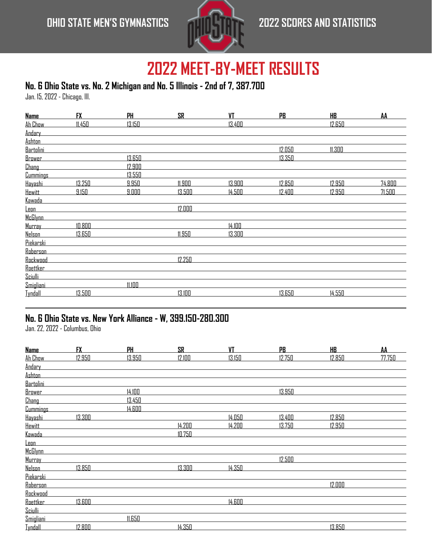### **OHIO STATE MEN'S GYMNASTICS 2022 SCORES AND STATISTICS**



# **2022 MEET-BY-MEET RESULTS**

### **No. 6 Ohio State vs. No. 2 Michigan and No. 5 Illinois - 2nd of 7, 387.700**

Jan. 15, 2022 - Chicago, Ill.

| <b>Name</b>     | <b>FX</b> | <b>PH</b> | <b>SR</b> | <b>VT</b> | <b>PB</b> | HB.    | AA     |
|-----------------|-----------|-----------|-----------|-----------|-----------|--------|--------|
| Ah Chow         | 11.450    | 13.150    |           | 13.400    |           | 12.650 |        |
| Andary          |           |           |           |           |           |        |        |
| Ashton          |           |           |           |           |           |        |        |
| Bartolini       |           |           |           |           | 12.050    | 11.300 |        |
| <b>Brower</b>   |           | 13.650    |           |           | 13.350    |        |        |
| <b>Chang</b>    |           | 12.900    |           |           |           |        |        |
| <b>Cummings</b> |           | 13.550    |           |           |           |        |        |
| Hayashi         | 13.250    | 9.950     | 11.900    | 13.900    | 12.850    | 12.950 | 74.800 |
| <b>Hewitt</b>   | 9.150     | 9.000     | 13.500    | 14.500    | 12.400    | 12.950 | 71.500 |
| Kawada          |           |           |           |           |           |        |        |
| <u>Leon</u>     |           |           | 12.000    |           |           |        |        |
| McGlynn         |           |           |           |           |           |        |        |
| Murray          | 10.800    |           |           | 14.100    |           |        |        |
| Nelson          | 13.650    |           | 11.950    | 13.300    |           |        |        |
| Piekarski       |           |           |           |           |           |        |        |
| Roberson        |           |           |           |           |           |        |        |
| Rockwood        |           |           | 12.250    |           |           |        |        |
| Roettker        |           |           |           |           |           |        |        |
| Sciulli         |           |           |           |           |           |        |        |
| Smigliani       |           | 11.100    |           |           |           |        |        |
| <b>Iyndall</b>  | 13.500    |           | 13.100    |           | 13.650    | 14.550 |        |

### **No. 6 Ohio State vs. New York Alliance - W, 399.150-280.300**

Jan. 22, 2022 - Columbus, Ohio

| <b>Name</b>     | <b>FX</b> | PH     | <b>SR</b> | <b>VT</b> | <b>PB</b> | HB.    | AA     |
|-----------------|-----------|--------|-----------|-----------|-----------|--------|--------|
| Ah Chow         | 12.950    | 13.950 | 12.100    | 13.150    | 12.750    | 12.850 | 77.750 |
| Andary          |           |        |           |           |           |        |        |
| Ashton          |           |        |           |           |           |        |        |
| Bartolini       |           |        |           |           |           |        |        |
| Brower          |           | 14.100 |           |           | 13.950    |        |        |
| Chang           |           | 13.450 |           |           |           |        |        |
| <b>Cummings</b> |           | 14.600 |           |           |           |        |        |
| Hayashi         | 13.300    |        |           | 14.050    | 13.400    | 12.850 |        |
| <b>Hewitt</b>   |           |        | 14.200    | 14.200    | 13.750    | 12.950 |        |
| Kawada          |           |        | 10.750    |           |           |        |        |
| <u>Leon</u>     |           |        |           |           |           |        |        |
| <b>McGlynn</b>  |           |        |           |           |           |        |        |
| Murray          |           |        |           |           | 12.500    |        |        |
| <b>Nelson</b>   | 13.850    |        | 13.300    | 14.350    |           |        |        |
| Piekarski       |           |        |           |           |           |        |        |
| Roberson        |           |        |           |           |           | 12.000 |        |
| Rockwood        |           |        |           |           |           |        |        |
| Roettker        | 13.600    |        |           | 14.600    |           |        |        |
| Sciulli         |           |        |           |           |           |        |        |
| Smigliani       |           | 11.650 |           |           |           |        |        |
| <b>Iyndall</b>  | 12.800    |        | 14.350    |           |           | 13.850 |        |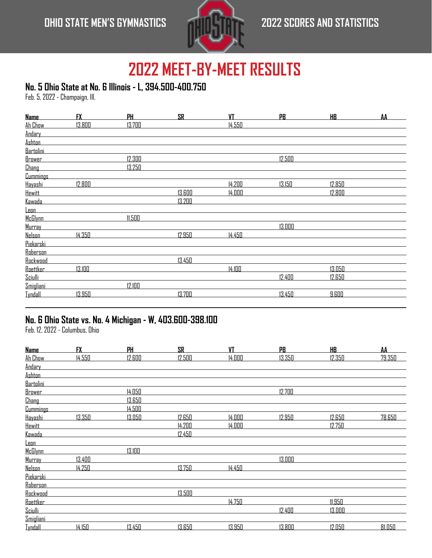

### **No. 5 Ohio State at No. 6 Illinois - L, 394.500-400.750**

Feb. 5, 2022 - Champaign, Ill.

| <b>Name</b>     | <b>FX</b> | PH     | <b>SR</b> | VT     | PB     | HB     | AA |
|-----------------|-----------|--------|-----------|--------|--------|--------|----|
| Ah Chow         | 13.800    | 13.700 |           | 14.550 |        |        |    |
| Andary          |           |        |           |        |        |        |    |
| <b>Ashton</b>   |           |        |           |        |        |        |    |
| Bartolini       |           |        |           |        |        |        |    |
| <b>Brower</b>   |           | 12.300 |           |        | 12.500 |        |    |
| <b>Chang</b>    |           | 13.250 |           |        |        |        |    |
| <b>Cummings</b> |           |        |           |        |        |        |    |
| Hayashi         | 12.800    |        |           | 14.200 | 13.150 | 12.850 |    |
| <b>Hewitt</b>   |           |        | 13.600    | 14.000 |        | 12.800 |    |
| <u>Kawada</u>   |           |        | 13.200    |        |        |        |    |
| <u>Leon</u>     |           |        |           |        |        |        |    |
| McGlynn         |           | 11.500 |           |        |        |        |    |
| Murray          |           |        |           |        | 13.000 |        |    |
| <b>Nelson</b>   | 14.350    |        | 12.950    | 14.450 |        |        |    |
| Piekarski       |           |        |           |        |        |        |    |
| <b>Roberson</b> |           |        |           |        |        |        |    |
| Rockwood        |           |        | 13.450    |        |        |        |    |
| <b>Roettker</b> | 13.100    |        |           | 14.100 |        | 13.050 |    |
| Sciulli         |           |        |           |        | 12.400 | 12.650 |    |
| Smigliani       |           | 12.100 |           |        |        |        |    |
| <b>Iyndall</b>  | 13.950    |        | 13.700    |        | 13.450 | 9.600  |    |

#### **No. 6 Ohio State vs. No. 4 Michigan - W, 403.600-398.100**

Feb. 12, 2022 - Columbus, Ohio

| <b>Name</b>     | <b>FX</b> | PH     | <b>SR</b> | <b>VT</b> | PB     | <b>HB</b> | AA     |
|-----------------|-----------|--------|-----------|-----------|--------|-----------|--------|
| Ah Chow         | 14.550    | 12.600 | 12.500    | 14.000    | 13.350 | 12.350    | 79.350 |
| Andary          |           |        |           |           |        |           |        |
| Ashton          |           |        |           |           |        |           |        |
| Bartolini       |           |        |           |           |        |           |        |
| Brower          |           | 14.050 |           |           | 12.700 |           |        |
| <b>Chang</b>    |           | 13.650 |           |           |        |           |        |
| <b>Cummings</b> |           | 14.500 |           |           |        |           |        |
| Hayashi         | 13.350    | 13.050 | 12.650    | 14.000    | 12.950 | 12.650    | 78.650 |
| <b>Hewitt</b>   |           |        | 14.200    | 14.000    |        | 12.750    |        |
| Kawada          |           |        | 12.450    |           |        |           |        |
| <u>Leon</u>     |           |        |           |           |        |           |        |
| McGlynn         |           | 13.100 |           |           |        |           |        |
| Murray          | 13.400    |        |           |           | 13.000 |           |        |
| <b>Nelson</b>   | 14.250    |        | 13.750    | 14.450    |        |           |        |
| Piekarski       |           |        |           |           |        |           |        |
| Roberson        |           |        |           |           |        |           |        |
| Rockwood        |           |        | 13.500    |           |        |           |        |
| Roettker        |           |        |           | 14.750    |        | 11.950    |        |
| Sciulli         |           |        |           |           | 12.400 | 13.000    |        |
| Smigliani       |           |        |           |           |        |           |        |
| <b>Iyndall</b>  | 14.150    | 13.450 | 13.650    | 13.950    | 13.800 | 12.050    | 81.050 |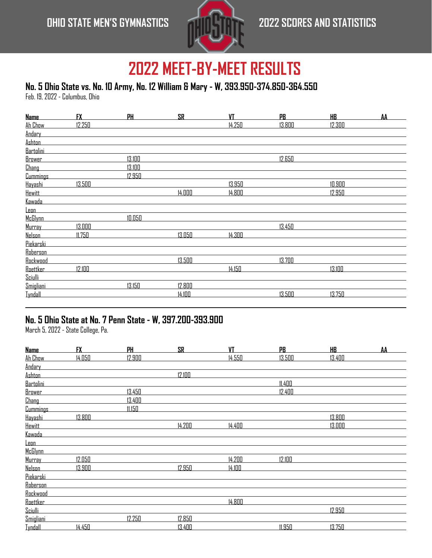

### **No. 5 Ohio State vs. No. 10 Army, No. 12 William & Mary - W, 393.950-374.850-364.550**

Feb. 19, 2022 - Columbus, Ohio

| <b>Name</b>     | <b>FX</b> | PH     | <b>SR</b> | VT     | PB     | <u>HB</u> | AA |
|-----------------|-----------|--------|-----------|--------|--------|-----------|----|
| Ah Chow         | 12.250    |        |           | 14.250 | 13.800 | 12.300    |    |
| Andary          |           |        |           |        |        |           |    |
| <b>Ashton</b>   |           |        |           |        |        |           |    |
| Bartolini       |           |        |           |        |        |           |    |
| <b>Brower</b>   |           | 13.100 |           |        | 12.650 |           |    |
| <b>Chang</b>    |           | 13.100 |           |        |        |           |    |
| <b>Cummings</b> |           | 12.950 |           |        |        |           |    |
| Hayashi         | 13.500    |        |           | 13.950 |        | 10.900    |    |
| <b>Hewitt</b>   |           |        | 14.000    | 14.800 |        | 12.950    |    |
| Kawada          |           |        |           |        |        |           |    |
| <u>Leon</u>     |           |        |           |        |        |           |    |
| McGlynn         |           | 10.050 |           |        |        |           |    |
| Murray          | 13.000    |        |           |        | 13.450 |           |    |
| <b>Nelson</b>   | 11.750    |        | 13.050    | 14.300 |        |           |    |
| Piekarski       |           |        |           |        |        |           |    |
| Roberson        |           |        |           |        |        |           |    |
| Rockwood        |           |        | 13.500    |        | 13.700 |           |    |
| <b>Roettker</b> | 12.100    |        |           | 14.150 |        | 13.100    |    |
| Sciulli         |           |        |           |        |        |           |    |
| Smigliani       |           | 13.150 | 12.800    |        |        |           |    |
| <b>Tyndall</b>  |           |        | 14.100    |        | 13.500 | 13.750    |    |

### **No. 5 Ohio State at No. 7 Penn State - W, 397.200-393.900**

March 5, 2022 - State College, Pa.

| <b>Name</b>     | <b>FX</b> | PH     | <b>SR</b> | <b>VT</b> | PB     | <b>HB</b> | AA |
|-----------------|-----------|--------|-----------|-----------|--------|-----------|----|
| Ah Chow         | 14.050    | 12.900 |           | 14.550    | 13.500 | 13.400    |    |
| Andary          |           |        |           |           |        |           |    |
| Ashton          |           |        | 12.100    |           |        |           |    |
| Bartolini       |           |        |           |           | 11.400 |           |    |
| Brower          |           | 13.450 |           |           | 12.400 |           |    |
| Chang           |           | 13.400 |           |           |        |           |    |
| <b>Cummings</b> |           | 11.150 |           |           |        |           |    |
| Hayashi         | 13.800    |        |           |           |        | 13.800    |    |
| <b>Hewitt</b>   |           |        | 14.200    | 14.400    |        | 13.000    |    |
| Kawada          |           |        |           |           |        |           |    |
| <u>Leon</u>     |           |        |           |           |        |           |    |
| <b>McGlynn</b>  |           |        |           |           |        |           |    |
| Murray          | 12.050    |        |           | 14.200    | 12.100 |           |    |
| <b>Nelson</b>   | 13.900    |        | 12.950    | 14.100    |        |           |    |
| Piekarski       |           |        |           |           |        |           |    |
| Roberson        |           |        |           |           |        |           |    |
| Rockwood        |           |        |           |           |        |           |    |
| Roettker        |           |        |           | 14.800    |        |           |    |
| Sciulli         |           |        |           |           |        | 12.950    |    |
| Smigliani       |           | 12.250 | 12.850    |           |        |           |    |
| <b>Iyndall</b>  | 14.450    |        | 13.400    |           | 11.950 | 13.750    |    |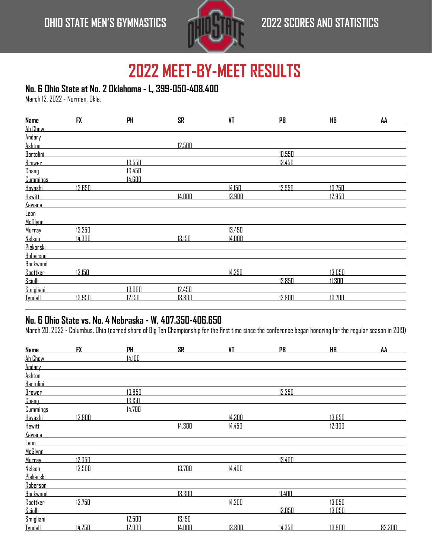

### **No. 6 Ohio State at No. 2 Oklahoma - L, 399-050-408.400**

March 12, 2022 - Norman, Okla.

| <b>Name</b>     | <b>FX</b> | <b>PH</b> | <b>SR</b> | VT     | PB     | HB.    | AA |
|-----------------|-----------|-----------|-----------|--------|--------|--------|----|
| Ah Chow         |           |           |           |        |        |        |    |
| Andary          |           |           |           |        |        |        |    |
| <b>Ashton</b>   |           |           | 12.500    |        |        |        |    |
| Bartolini       |           |           |           |        | 10.550 |        |    |
| <u>Brower</u>   |           | 13.550    |           |        | 13.450 |        |    |
| <b>Chang</b>    |           | 13.450    |           |        |        |        |    |
| <b>Cummings</b> |           | 14.600    |           |        |        |        |    |
| Hayashi         | 13.650    |           |           | 14.150 | 12.950 | 13.750 |    |
| <b>Hewitt</b>   |           |           | 14.000    | 13.900 |        | 12.950 |    |
| <u>Kawada</u>   |           |           |           |        |        |        |    |
| <u>Leon</u>     |           |           |           |        |        |        |    |
| McGlynn         |           |           |           |        |        |        |    |
| Murray          | 13.250    |           |           | 13.450 |        |        |    |
| <b>Nelson</b>   | 14.300    |           | 13.150    | 14.000 |        |        |    |
| Piekarski       |           |           |           |        |        |        |    |
| Roberson        |           |           |           |        |        |        |    |
| Rockwood        |           |           |           |        |        |        |    |
| <b>Roettker</b> | 13.150    |           |           | 14.250 |        | 13.050 |    |
| Sciulli         |           |           |           |        | 13.850 | 11.300 |    |
| Smigliani       |           | 13.000    | 12.450    |        |        |        |    |
| <b>Iyndall</b>  | 13.950    | 12.150    | 13.800    |        | 12.800 | 13.700 |    |

### **No. 6 Ohio State vs. No. 4 Nebraska - W, 407.350-406.650**

March 20, 2022 - Columbus, Ohio (earned share of Big Ten Championship for the first time since the conference began honoring for the regular season in 2019)

| <b>Name</b>     | <b>FX</b> | PH     | <b>SR</b> | VT     | <b>PB</b> | HB.    | AA     |
|-----------------|-----------|--------|-----------|--------|-----------|--------|--------|
| Ah Chow         |           | 14.100 |           |        |           |        |        |
| Andary          |           |        |           |        |           |        |        |
| Ashton          |           |        |           |        |           |        |        |
| Bartolini       |           |        |           |        |           |        |        |
| <b>Brower</b>   |           | 13.850 |           |        | 12.350    |        |        |
| <b>Chang</b>    |           | 13.150 |           |        |           |        |        |
| <b>Cummings</b> |           | 14.700 |           |        |           |        |        |
| Hayashi         | 13.900    |        |           | 14.300 |           | 13.650 |        |
| <b>Hewitt</b>   |           |        | 14.300    | 14.450 |           | 12.900 |        |
| Kawada          |           |        |           |        |           |        |        |
| <u>Leon</u>     |           |        |           |        |           |        |        |
| <b>McGlynn</b>  |           |        |           |        |           |        |        |
| Murray          | 12.350    |        |           |        | 13.400    |        |        |
| <b>Nelson</b>   | 13.500    |        | 13.700    | 14.400 |           |        |        |
| Piekarski       |           |        |           |        |           |        |        |
| Roberson        |           |        |           |        |           |        |        |
| Rockwood        |           |        | 13.300    |        | 11.400    |        |        |
| Roettker        | 13.750    |        |           | 14.200 |           | 13.650 |        |
| Sciulli         |           |        |           |        | 13.050    | 13.050 |        |
| Smigliani       |           | 12.500 | 13.150    |        |           |        |        |
| <b>Iyndall</b>  | 14.250    | 12.000 | 14.000    | 13.800 | 14.350    | 13.900 | 82.300 |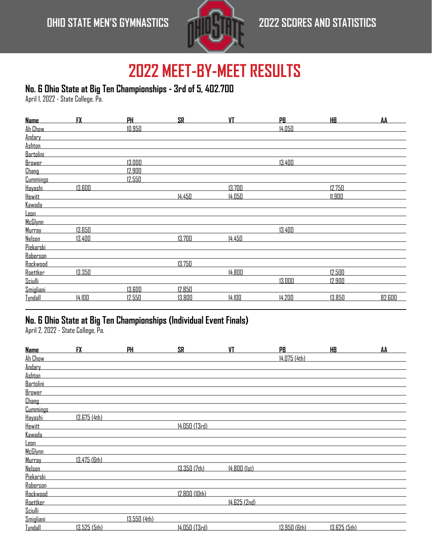

#### **No. 6 Ohio State at Big Ten Championships - 3rd of 5, 402.700**

April 1, 2022 - State College, Pa.

| <b>Name</b>     | <b>FX</b> | <b>PH</b> | <b>SR</b> | <b>VT</b> | <b>PB</b> | <u>HB</u> | AA     |
|-----------------|-----------|-----------|-----------|-----------|-----------|-----------|--------|
| Ah Chow         |           | 10.950    |           |           | 14.050    |           |        |
| Andary          |           |           |           |           |           |           |        |
| <b>Ashton</b>   |           |           |           |           |           |           |        |
| Bartolini       |           |           |           |           |           |           |        |
| <b>Brower</b>   |           | 13.000    |           |           | 13.400    |           |        |
| <b>Chang</b>    |           | 12.900    |           |           |           |           |        |
| <b>Cummings</b> |           | 12.550    |           |           |           |           |        |
| Hayashi         | 13.600    |           |           | 13.700    |           | 12.750    |        |
| <b>Hewitt</b>   |           |           | 14.450    | 14.050    |           | 11.900    |        |
| <u>Kawada</u>   |           |           |           |           |           |           |        |
| <u>Leon</u>     |           |           |           |           |           |           |        |
| McGlynn         |           |           |           |           |           |           |        |
| Murray          | 13.650    |           |           |           | 13.400    |           |        |
| <b>Nelson</b>   | 13.400    |           | 13.700    | 14.450    |           |           |        |
| Piekarski       |           |           |           |           |           |           |        |
| Roberson        |           |           |           |           |           |           |        |
| Rockwood        |           |           | 13.750    |           |           |           |        |
| Roettker        | 13.350    |           |           | 14.800    |           | 12.500    |        |
| Sciulli         |           |           |           |           | 13.000    | 12.900    |        |
| Smigliani       |           | 13.600    | 12.850    |           |           |           |        |
| <b>Tyndall</b>  | 14.100    | 12.550    | 13.800    | 14.100    | 14.200    | 13.850    | 82.600 |

### **No. 6 Ohio State at Big Ten Championships (Individual Event Finals)**

April 2, 2022 - State College, Pa.

| <b>Name</b>     | <b>FX</b>    | PH           | <b>SR</b>     | VT           | PB.          | <b>HB</b>    | AA |
|-----------------|--------------|--------------|---------------|--------------|--------------|--------------|----|
| Ah Chow         |              |              |               |              | 14.075 (4th) |              |    |
| Andary          |              |              |               |              |              |              |    |
| <b>Ashton</b>   |              |              |               |              |              |              |    |
| Bartolini       |              |              |               |              |              |              |    |
| <b>Brower</b>   |              |              |               |              |              |              |    |
| <b>Chang</b>    |              |              |               |              |              |              |    |
| <b>Cummings</b> |              |              |               |              |              |              |    |
| Hayashi         | 13.675 (4th) |              |               |              |              |              |    |
| <b>Hewitt</b>   |              |              | 14.050 (T3rd) |              |              |              |    |
| Kawada          |              |              |               |              |              |              |    |
| <u>Leon</u>     |              |              |               |              |              |              |    |
| McGlynn         |              |              |               |              |              |              |    |
| Murray          | 13.475 (6th) |              |               |              |              |              |    |
| <b>Nelson</b>   |              |              | 13.350 (7th)  | 14.800 (1st) |              |              |    |
| Piekarski       |              |              |               |              |              |              |    |
| Roberson        |              |              |               |              |              |              |    |
| Rockwood        |              |              | 12.800 (10th) |              |              |              |    |
| Roettker        |              |              |               | 14.625 (2nd) |              |              |    |
| Sciulli         |              |              |               |              |              |              |    |
| Smigliani       |              | 13.550 (4th) |               |              |              |              |    |
| <b>Tyndall</b>  | 13.525 (5th) |              | 14.050 (T3rd) |              | 13.950 (6th) | 13.625 (5th) |    |